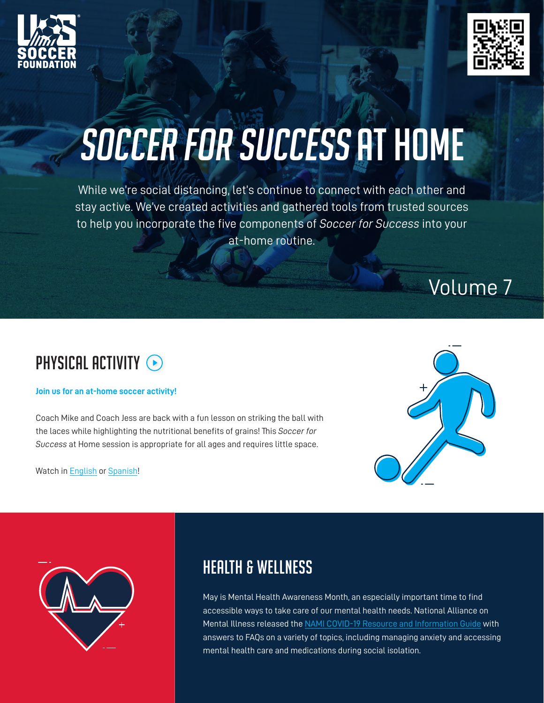



# SOCCER FOR SUCCESS AT HOME

While we're social distancing, let's continue to connect with each other and stay active. We've created activities and gathered tools from trusted sources to help you incorporate the five components of *Soccer for Success* into your at-home routine.

# Volume 7

# PHYSICAL ACTIVITY  $\odot$

#### **Join us for an at-home soccer activity!**

Coach Mike and Coach Jess are back with a fun lesson on striking the ball with the laces while highlighting the nutritional benefits of grains! This *Soccer for Success* at Home session is appropriate for all ages and requires little space.

Watch in [English](https://youtu.be/UTjCDT8MguY) or [Spanish](https://www.youtube.com/watch?v=u-UATgyD-OI&feature=youtu.be)!





### Health & Wellness

May is Mental Health Awareness Month, an especially important time to find accessible ways to take care of our mental health needs. National Alliance on Mental Illness released the [NAMI COVID-19 Resource and Information Guide](https://www.nami.org/covid-19-guide) with answers to FAQs on a variety of topics, including managing anxiety and accessing mental health care and medications during social isolation.